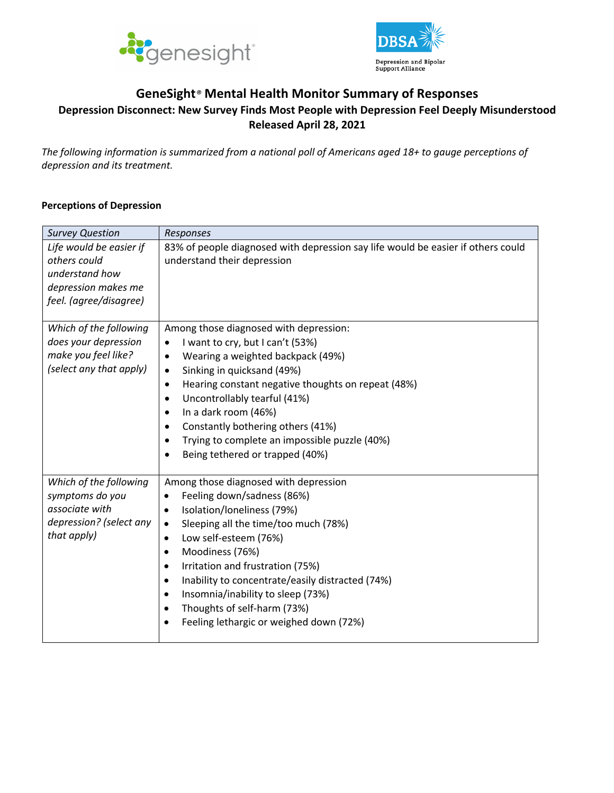



# **GeneSight***®* **Mental Health Monitor Summary of Responses Depression Disconnect: New Survey Finds Most People with Depression Feel Deeply Misunderstood Released April 28, 2021**

*The following information is summarized from a national poll of Americans aged 18+ to gauge perceptions of depression and its treatment.*

#### **Perceptions of Depression**

| <b>Survey Question</b>                                                                                     | Responses                                                                                                                                                                                                                                                                                                                                                                                                                                            |
|------------------------------------------------------------------------------------------------------------|------------------------------------------------------------------------------------------------------------------------------------------------------------------------------------------------------------------------------------------------------------------------------------------------------------------------------------------------------------------------------------------------------------------------------------------------------|
| Life would be easier if<br>others could<br>understand how<br>depression makes me<br>feel. (agree/disagree) | 83% of people diagnosed with depression say life would be easier if others could<br>understand their depression                                                                                                                                                                                                                                                                                                                                      |
| Which of the following<br>does your depression<br>make you feel like?<br>(select any that apply)           | Among those diagnosed with depression:<br>I want to cry, but I can't (53%)<br>Wearing a weighted backpack (49%)<br>٠<br>Sinking in quicksand (49%)<br>$\bullet$<br>Hearing constant negative thoughts on repeat (48%)<br>$\bullet$<br>Uncontrollably tearful (41%)<br>In a dark room (46%)<br>Constantly bothering others (41%)<br>Trying to complete an impossible puzzle (40%)<br>Being tethered or trapped (40%)                                  |
| Which of the following<br>symptoms do you<br>associate with<br>depression? (select any<br>that apply)      | Among those diagnosed with depression<br>Feeling down/sadness (86%)<br>٠<br>Isolation/loneliness (79%)<br>٠<br>Sleeping all the time/too much (78%)<br>٠<br>Low self-esteem (76%)<br>٠<br>Moodiness (76%)<br>٠<br>Irritation and frustration (75%)<br>٠<br>Inability to concentrate/easily distracted (74%)<br>$\bullet$<br>Insomnia/inability to sleep (73%)<br>$\bullet$<br>Thoughts of self-harm (73%)<br>Feeling lethargic or weighed down (72%) |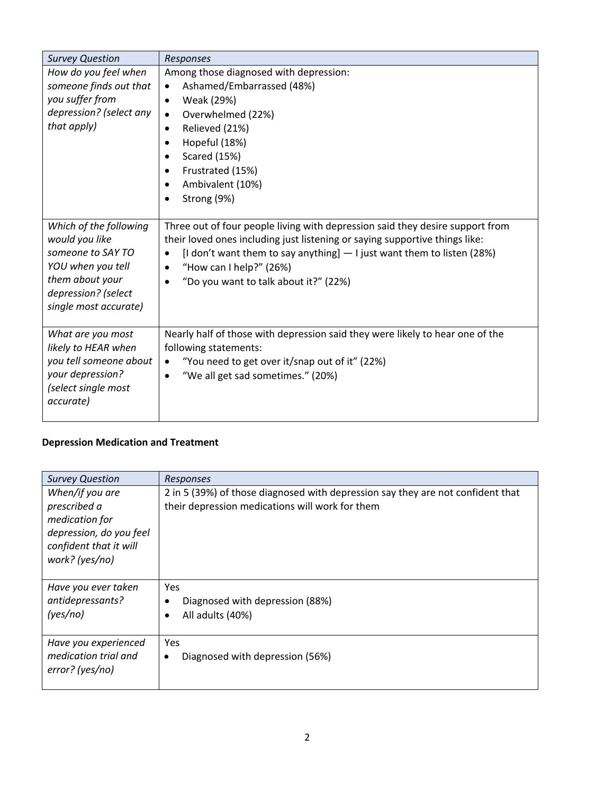| <b>Survey Question</b>                                                                                                                                | Responses                                                                                                                                                                                                                                                                                                   |
|-------------------------------------------------------------------------------------------------------------------------------------------------------|-------------------------------------------------------------------------------------------------------------------------------------------------------------------------------------------------------------------------------------------------------------------------------------------------------------|
| How do you feel when<br>someone finds out that<br>you suffer from<br>depression? (select any<br>that apply)                                           | Among those diagnosed with depression:<br>Ashamed/Embarrassed (48%)<br>$\bullet$<br>Weak (29%)<br>$\bullet$<br>Overwhelmed (22%)<br>Relieved (21%)<br>٠<br>Hopeful (18%)<br>Scared (15%)<br>Frustrated (15%)<br>Ambivalent (10%)<br>Strong (9%)                                                             |
| Which of the following<br>would you like<br>someone to SAY TO<br>YOU when you tell<br>them about your<br>depression? (select<br>single most accurate) | Three out of four people living with depression said they desire support from<br>their loved ones including just listening or saying supportive things like:<br>[I don't want them to say anything] $-1$ just want them to listen (28%)<br>"How can I help?" (26%)<br>"Do you want to talk about it?" (22%) |
| What are you most<br>likely to HEAR when<br>you tell someone about<br>your depression?<br>(select single most<br>accurate)                            | Nearly half of those with depression said they were likely to hear one of the<br>following statements:<br>"You need to get over it/snap out of it" (22%)<br>$\bullet$<br>"We all get sad sometimes." (20%)<br>$\bullet$                                                                                     |

### **Depression Medication and Treatment**

| <b>Survey Question</b>                                                                                                   | Responses                                                                                                                          |
|--------------------------------------------------------------------------------------------------------------------------|------------------------------------------------------------------------------------------------------------------------------------|
| When/if you are<br>prescribed a<br>medication for<br>depression, do you feel<br>confident that it will<br>work? (yes/no) | 2 in 5 (39%) of those diagnosed with depression say they are not confident that<br>their depression medications will work for them |
| Have you ever taken                                                                                                      | <b>Yes</b>                                                                                                                         |
| antidepressants?                                                                                                         | Diagnosed with depression (88%)                                                                                                    |
| (yes/no)                                                                                                                 | All adults (40%)                                                                                                                   |
| Have you experienced                                                                                                     | <b>Yes</b>                                                                                                                         |
| medication trial and                                                                                                     | Diagnosed with depression (56%)                                                                                                    |
| error? (yes/no)                                                                                                          | ٠                                                                                                                                  |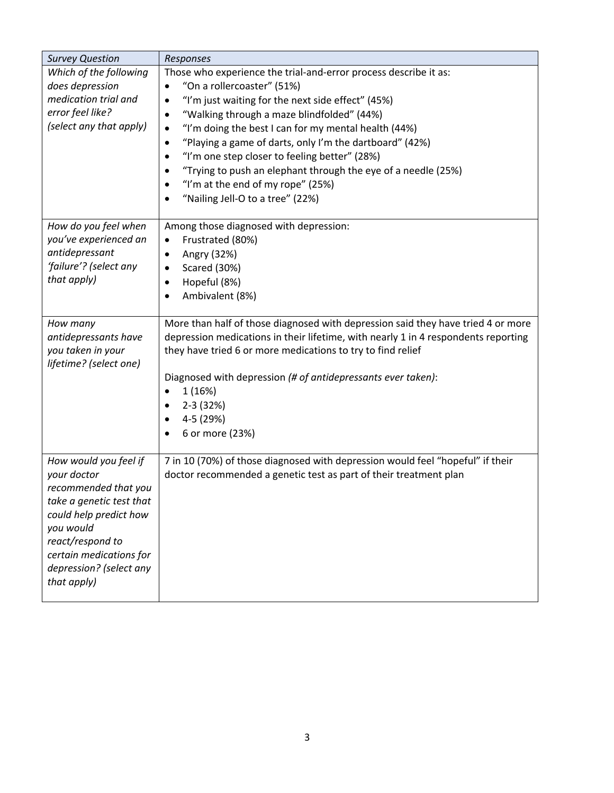| <b>Survey Question</b>                                                                                                                                                                                                   | Responses                                                                                                                                                                                                                                                                                                                                                                                                                                                                                                            |
|--------------------------------------------------------------------------------------------------------------------------------------------------------------------------------------------------------------------------|----------------------------------------------------------------------------------------------------------------------------------------------------------------------------------------------------------------------------------------------------------------------------------------------------------------------------------------------------------------------------------------------------------------------------------------------------------------------------------------------------------------------|
| Which of the following<br>does depression<br>medication trial and<br>error feel like?<br>(select any that apply)                                                                                                         | Those who experience the trial-and-error process describe it as:<br>"On a rollercoaster" (51%)<br>"I'm just waiting for the next side effect" (45%)<br>"Walking through a maze blindfolded" (44%)<br>٠<br>"I'm doing the best I can for my mental health (44%)<br>"Playing a game of darts, only I'm the dartboard" (42%)<br>"I'm one step closer to feeling better" (28%)<br>"Trying to push an elephant through the eye of a needle (25%)<br>"I'm at the end of my rope" (25%)<br>"Nailing Jell-O to a tree" (22%) |
| How do you feel when<br>you've experienced an<br>antidepressant<br>'failure'? (select any<br>that apply)                                                                                                                 | Among those diagnosed with depression:<br>Frustrated (80%)<br>$\bullet$<br>Angry (32%)<br>Scared (30%)<br>Hopeful (8%)<br>٠<br>Ambivalent (8%)                                                                                                                                                                                                                                                                                                                                                                       |
| How many<br>antidepressants have<br>you taken in your<br>lifetime? (select one)                                                                                                                                          | More than half of those diagnosed with depression said they have tried 4 or more<br>depression medications in their lifetime, with nearly 1 in 4 respondents reporting<br>they have tried 6 or more medications to try to find relief<br>Diagnosed with depression (# of antidepressants ever taken):<br>1 (16%)<br>$2-3(32%)$<br>4-5 (29%)<br>6 or more (23%)                                                                                                                                                       |
| How would you feel if<br>your doctor<br>recommended that you<br>take a genetic test that<br>could help predict how<br>you would<br>react/respond to<br>certain medications for<br>depression? (select any<br>that apply) | 7 in 10 (70%) of those diagnosed with depression would feel "hopeful" if their<br>doctor recommended a genetic test as part of their treatment plan                                                                                                                                                                                                                                                                                                                                                                  |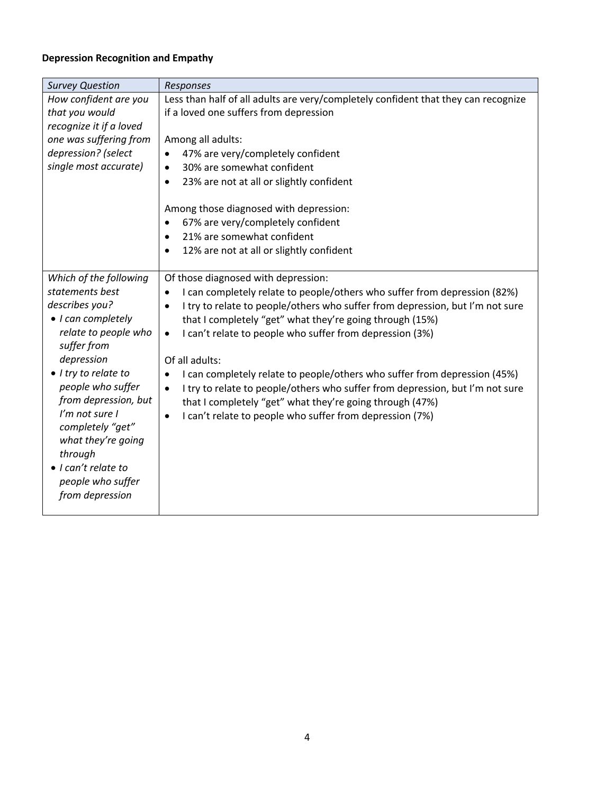# **Depression Recognition and Empathy**

| <b>Survey Question</b>                                                                                                                                                                                                                                                                                                                            | Responses                                                                                                                                                                                                                                                                                                                                                                                                                                                                                                                                                                                                                                                                  |
|---------------------------------------------------------------------------------------------------------------------------------------------------------------------------------------------------------------------------------------------------------------------------------------------------------------------------------------------------|----------------------------------------------------------------------------------------------------------------------------------------------------------------------------------------------------------------------------------------------------------------------------------------------------------------------------------------------------------------------------------------------------------------------------------------------------------------------------------------------------------------------------------------------------------------------------------------------------------------------------------------------------------------------------|
| How confident are you<br>that you would<br>recognize it if a loved<br>one was suffering from<br>depression? (select<br>single most accurate)                                                                                                                                                                                                      | Less than half of all adults are very/completely confident that they can recognize<br>if a loved one suffers from depression<br>Among all adults:<br>47% are very/completely confident<br>30% are somewhat confident<br>$\bullet$<br>23% are not at all or slightly confident<br>$\bullet$<br>Among those diagnosed with depression:<br>67% are very/completely confident<br>21% are somewhat confident<br>12% are not at all or slightly confident                                                                                                                                                                                                                        |
| Which of the following<br>statements best<br>describes you?<br>• I can completely<br>relate to people who<br>suffer from<br>depression<br>• I try to relate to<br>people who suffer<br>from depression, but<br>I'm not sure I<br>completely "get"<br>what they're going<br>through<br>• I can't relate to<br>people who suffer<br>from depression | Of those diagnosed with depression:<br>I can completely relate to people/others who suffer from depression (82%)<br>٠<br>I try to relate to people/others who suffer from depression, but I'm not sure<br>٠<br>that I completely "get" what they're going through (15%)<br>I can't relate to people who suffer from depression (3%)<br>$\bullet$<br>Of all adults:<br>I can completely relate to people/others who suffer from depression (45%)<br>I try to relate to people/others who suffer from depression, but I'm not sure<br>$\bullet$<br>that I completely "get" what they're going through (47%)<br>I can't relate to people who suffer from depression (7%)<br>٠ |